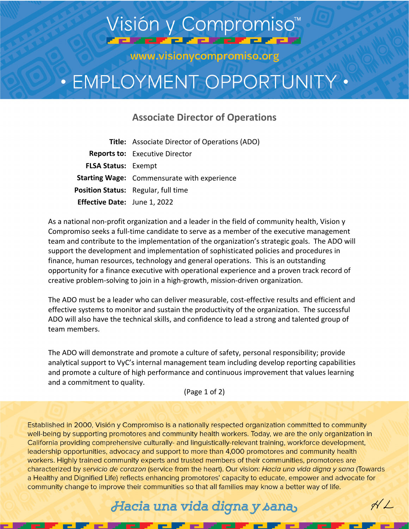## Visión y Compromiso<sup>™</sup> **CREF CREFERED**

www.visionycompromiso.org

# • EMPLOYMENT OPPORTUNITY •

#### **Associate Director of Operations**

**Title:** Associate Director of Operations (ADO) **Reports to:** Executive Director **FLSA Status:** Exempt **Starting Wage:** Commensurate with experience **Position Status:** Regular, full time **Effective Date:** June 1, 2022

As a national non-profit organization and a leader in the field of community health, Vision y Compromiso seeks a full-time candidate to serve as a member of the executive management team and contribute to the implementation of the organization's strategic goals. The ADO will support the development and implementation of sophisticated policies and procedures in finance, human resources, technology and general operations. This is an outstanding opportunity for a finance executive with operational experience and a proven track record of creative problem-solving to join in a high-growth, mission-driven organization.

The ADO must be a leader who can deliver measurable, cost-effective results and efficient and effective systems to monitor and sustain the productivity of the organization. The successful ADO will also have the technical skills, and confidence to lead a strong and talented group of team members.

The ADO will demonstrate and promote a culture of safety, personal responsibility; provide analytical support to VyC's internal management team including develop reporting capabilities and promote a culture of high performance and continuous improvement that values learning and a commitment to quality.

(Page 1 of 2)

Established in 2000, Visión y Compromiso is a nationally respected organization committed to community well-being by supporting promotores and community health workers. Today, we are the only organization in California providing comprehensive culturally- and linguistically-relevant training, workforce development, leadership opportunities, advocacy and support to more than 4,000 promotores and community health workers. Highly trained community experts and trusted members of their communities, promotores are characterized by servicio de corazon (service from the heart). Our vision: Hacia una vida digna y sana (Towards a Healthy and Dignified Life) reflects enhancing promotores' capacity to educate, empower and advocate for community change to improve their communities so that all families may know a better way of life.

### Hacia una vida digna y sana,

 $\forall L$